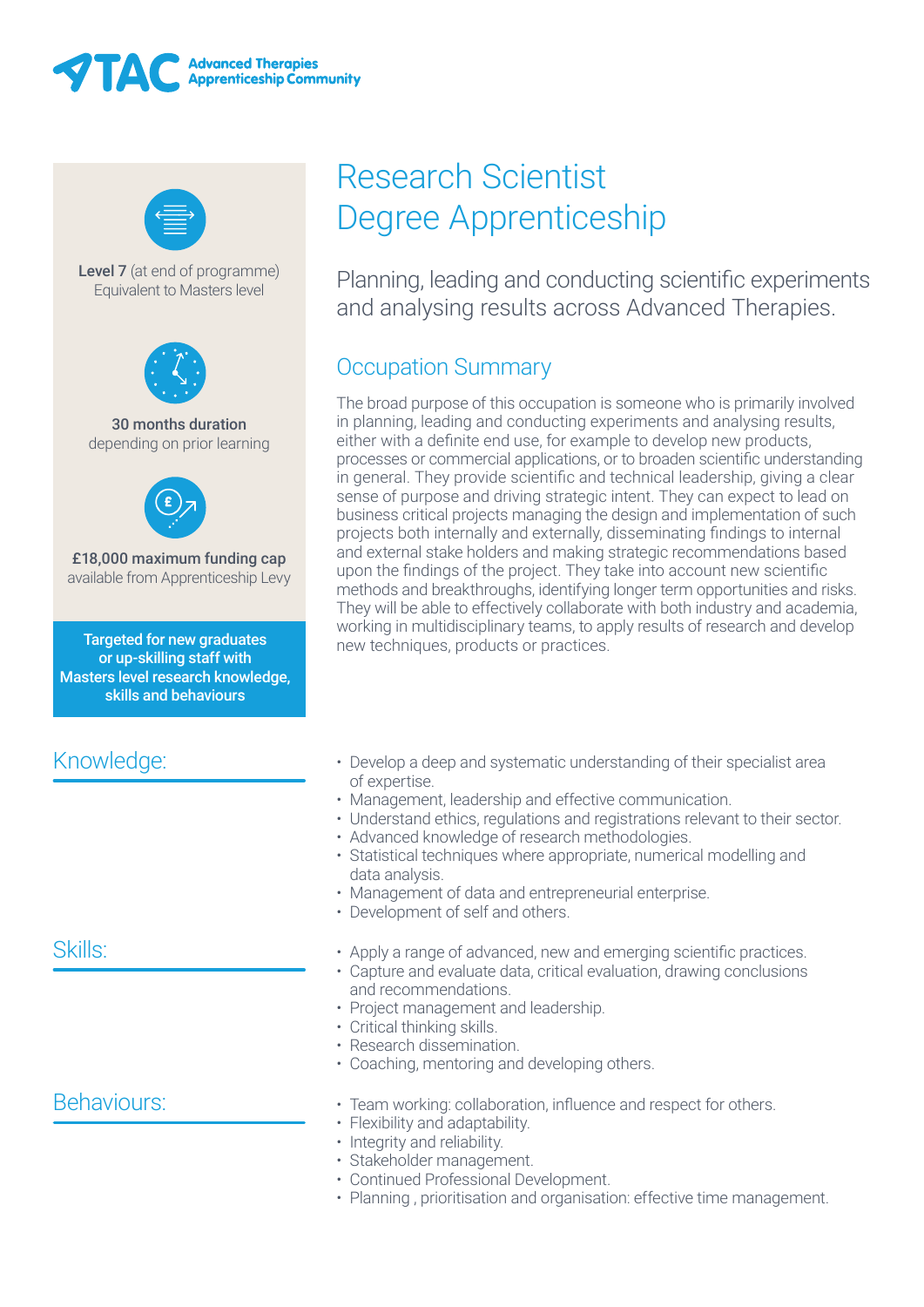



Level 7 (at end of programme) Equivalent to Masters level



30 months duration depending on prior learning



£18,000 maximum funding cap available from Apprenticeship Levy

Targeted for new graduates or up-skilling staff with Masters level research knowledge, skills and behaviours

## Knowledge:

## Skills:

### Behaviours:

# Research Scientist Degree Apprenticeship

Planning, leading and conducting scientific experiments and analysing results across Advanced Therapies.

# Occupation Summary

The broad purpose of this occupation is someone who is primarily involved in planning, leading and conducting experiments and analysing results, either with a definite end use, for example to develop new products, processes or commercial applications, or to broaden scientific understanding in general. They provide scientific and technical leadership, giving a clear sense of purpose and driving strategic intent. They can expect to lead on business critical projects managing the design and implementation of such projects both internally and externally, disseminating findings to internal and external stake holders and making strategic recommendations based upon the findings of the project. They take into account new scientific methods and breakthroughs, identifying longer term opportunities and risks. They will be able to effectively collaborate with both industry and academia, working in multidisciplinary teams, to apply results of research and develop new techniques, products or practices.

- Develop a deep and systematic understanding of their specialist area of expertise.
- Management, leadership and effective communication.
- Understand ethics, regulations and registrations relevant to their sector.
- Advanced knowledge of research methodologies.
- Statistical techniques where appropriate, numerical modelling and data analysis.
- Management of data and entrepreneurial enterprise.
- Development of self and others.
- Apply a range of advanced, new and emerging scientific practices.
- Capture and evaluate data, critical evaluation, drawing conclusions and recommendations.
- Project management and leadership.
- Critical thinking skills.
- Research dissemination.
- Coaching, mentoring and developing others.
- Team working: collaboration, influence and respect for others.
- Flexibility and adaptability.
- Integrity and reliability.
- Stakeholder management.
- Continued Professional Development.
- Planning , prioritisation and organisation: effective time management.